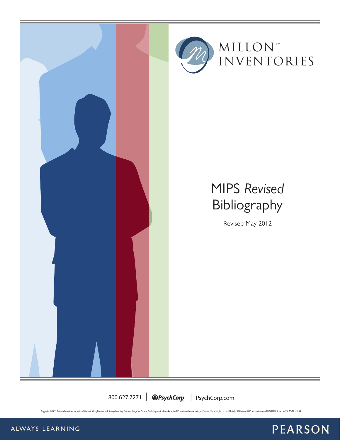



## MIPS *Revised* Bibliography

Revised May 2012

800.627.7271 | **@PsychCorp** | PsychCorp.com

Copyright @ 2012 Pearson Education, Inc. or its affiliate(s). All rights reserved. Always Learning, Pearson, design for Psi, and PsychCorp are trademarks, in the U.S. and/or other countries, of Pearson Education, Inc. or i



ALWAYS LEARNING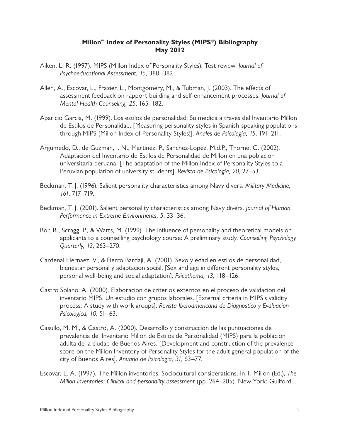## **Millon™ Index of Personality Styles (MIPS®) Bibliography May 2012**

- Aiken, L. R. (1997). MIPS (Millon Index of Personality Styles): Test review. *Journal of Psychoeducational Assessment, 15*, 380–382.
- Allen, A., Escovar, L., Frazier, L., Montgomery, M., & Tubman, J. (2003). The effects of assessment feedback on rapport-building and self-enhancement processes. *Journal of Mental Health Counseling, 25*, 165–182.
- Aparicio Garcia, M. (1999). Los estilos de personalidad: Su medida a traves del Inventario Millon de Estilos de Personalidad. [Measuring personality styles in Spanish-speaking populations through MIPS (Millon Index of Personality Styles)]. *Anales de Psicologia, 15*, 191–211.
- Argumedo, D., de Guzman, I. N., Martinez, P., Sanchez-Lopez, M.d.P., Thorne, C. (2002). Adaptacion del Inventario de Estilos de Personalidad de Millon en una poblacion universitaria peruana. [The adaptation of the Millon Index of Personality Styles to a Peruvian population of university students]. *Revista de Psicologia, 20*, 27–53.
- Beckman, T. J. (1996). Salient personality characteristics among Navy divers. *Military Medicine, 161*, 717–719.
- Beckman, T. J. (2001). Salient personality characteristics among Navy divers. *Journal of Human Performance in Extreme Environments, 5*, 33–36.
- Bor, R., Scragg, P., & Watts, M. (1999). The influence of personality and theoretical models on applicants to a counselling psychology course: A preliminary study. *Counselling Psychology Quarterly, 12*, 263–270.
- Cardenal Hernaez, V., & Fierro Bardaji, A. (2001). Sexo y edad en estilos de personalidad, bienestar personal y adaptacion social. [Sex and age in different personality styles, personal well-being and social adaptation]. *Psicothema, 13*, 118–126.
- Castro Solano, A. (2000). Elaboracion de criterios externos en el proceso de validacion del inventario MIPS. Un estudio con grupos laborales. [External criteria in MIPS's validity process: A study with work groups]. *Revista Iberoamericana de Diagnostico y Evaluacion Psicologica, 10*, 51–63.
- Casullo, M. M., & Castro, A. (2000). Desarrollo y construccion de las puntuaciones de prevalencia del Inventario Millon de Estilos de Personalidad (MIPS) para la poblacion adulta de la ciudad de Buenos Aires. [Development and construction of the prevalence score on the Millon Inventory of Personality Styles for the adult general population of the city of Buenos Aires]. *Anuario de Psicologia, 31*, 63–77.
- Escovar, L. A. (1997). The Millon inventories: Sociocultural considerations. In T. Millon (Ed.), *The Millon inventories: Clinical and personality assessment (pp. 264–285). New York: Guilford.*